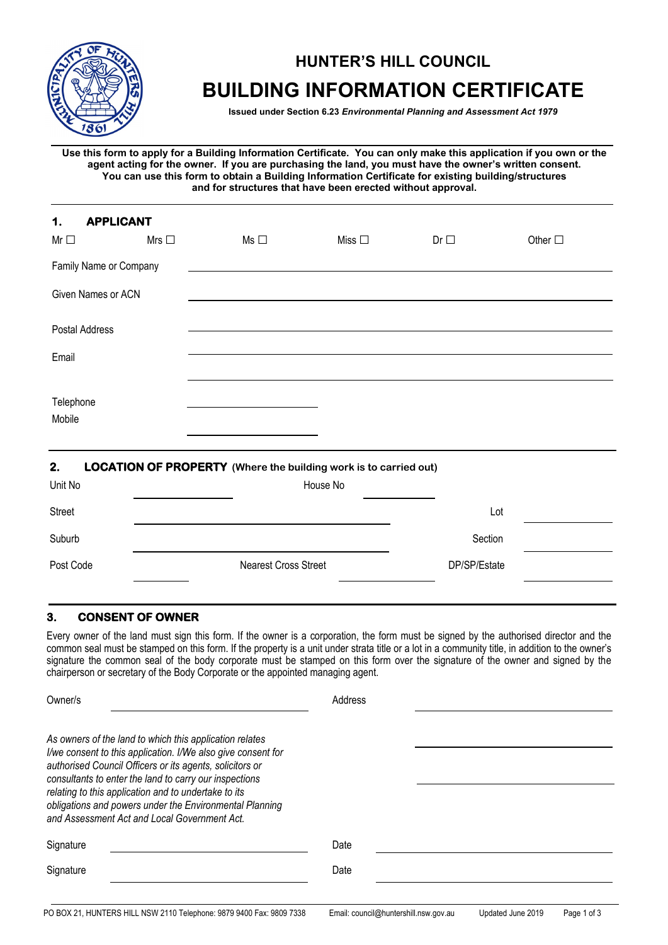

# **HUNTER'S HILL COUNCIL BUILDING INFORMATION CERTIFICATE**

**Issued under Section 6.23** *Environmental Planning and Assessment Act 1979*

**Use this form to apply for a Building Information Certificate. You can only make this application if you own or the agent acting for the owner. If you are purchasing the land, you must have the owner's written consent. You can use this form to obtain a Building Information Certificate for existing building/structures and for structures that have been erected without approval.**

| <b>APPLICANT</b><br>1.<br>$Mr \Box$ | Mrs $\Box$ | $Ms \Box$ | Miss $\square$ | $Dr \Box$ | Other $\square$ |
|-------------------------------------|------------|-----------|----------------|-----------|-----------------|
| Family Name or Company              |            |           |                |           |                 |
| Given Names or ACN                  |            |           |                |           |                 |
| Postal Address                      |            |           |                |           |                 |
| Email                               |            |           |                |           |                 |
| Telephone<br>Mobile                 |            |           |                |           |                 |

#### **2. LOCATION OF PROPERTY (Where the building work is to carried out)**

| Unit No   | House No                    |              |  |
|-----------|-----------------------------|--------------|--|
| Street    |                             | Lot          |  |
| Suburb    |                             | Section      |  |
| Post Code | <b>Nearest Cross Street</b> | DP/SP/Estate |  |

## **3. CONSENT OF OWNER**

Every owner of the land must sign this form. If the owner is a corporation, the form must be signed by the authorised director and the common seal must be stamped on this form. If the property is a unit under strata title or a lot in a community title, in addition to the owner's signature the common seal of the body corporate must be stamped on this form over the signature of the owner and signed by the chairperson or secretary of the Body Corporate or the appointed managing agent.

| Owner/s                                                                                                                                                                                                                                                                                                                                                                                                          | Address |
|------------------------------------------------------------------------------------------------------------------------------------------------------------------------------------------------------------------------------------------------------------------------------------------------------------------------------------------------------------------------------------------------------------------|---------|
| As owners of the land to which this application relates<br>I/we consent to this application. I/We also give consent for<br>authorised Council Officers or its agents, solicitors or<br>consultants to enter the land to carry our inspections<br>relating to this application and to undertake to its<br>obligations and powers under the Environmental Planning<br>and Assessment Act and Local Government Act. |         |
| Signature                                                                                                                                                                                                                                                                                                                                                                                                        | Date    |
| Signature                                                                                                                                                                                                                                                                                                                                                                                                        | Date    |
|                                                                                                                                                                                                                                                                                                                                                                                                                  |         |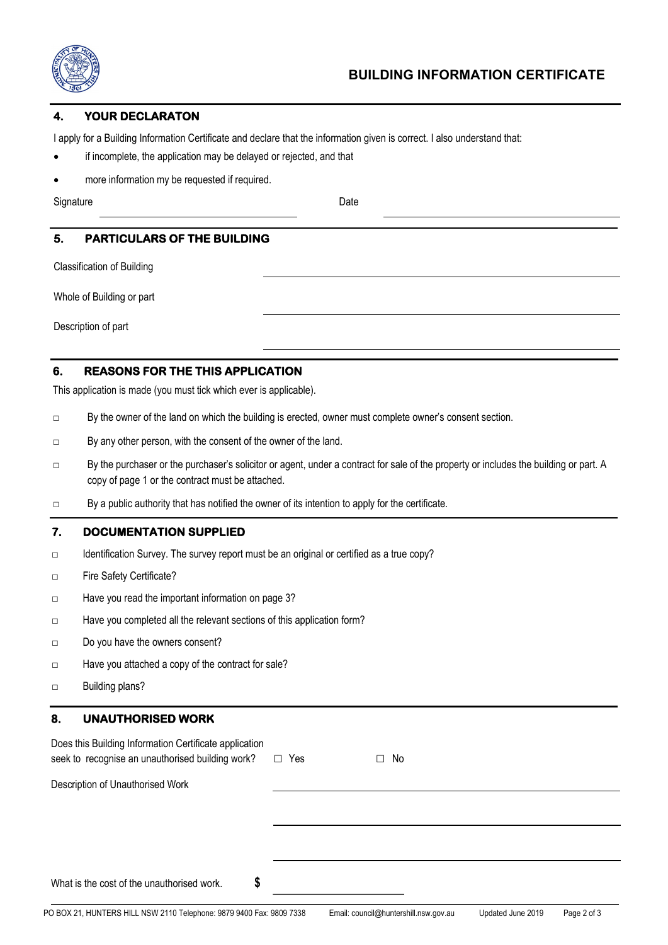

#### **4. YOUR DECLARATON**

I apply for a Building Information Certificate and declare that the information given is correct. I also understand that:

- if incomplete, the application may be delayed or rejected, and that
- more information my be requested if required.

Signature Date

## **5. PARTICULARS OF THE BUILDING**

Classification of Building

Whole of Building or part

Description of part

### **6. REASONS FOR THE THIS APPLICATION**

This application is made (you must tick which ever is applicable).

- □ By the owner of the land on which the building is erected, owner must complete owner's consent section.
- □ By any other person, with the consent of the owner of the land.
- □ By the purchaser or the purchaser's solicitor or agent, under a contract for sale of the property or includes the building or part. A copy of page 1 or the contract must be attached.
- □ By a public authority that has notified the owner of its intention to apply for the certificate.

#### **7. DOCUMENTATION SUPPLIED**

- □ Identification Survey. The survey report must be an original or certified as a true copy?
- □ Fire Safety Certificate?
- □ Have you read the important information on page 3?
- □ Have you completed all the relevant sections of this application form?
- □ Do you have the owners consent?
- □ Have you attached a copy of the contract for sale?
- □ Building plans?

## **8. UNAUTHORISED WORK**

| Does this Building Information Certificate application<br>seek to recognise an unauthorised building work? □ Yes | No<br>$\Box$ |  |
|------------------------------------------------------------------------------------------------------------------|--------------|--|
| Description of Unauthorised Work                                                                                 |              |  |
|                                                                                                                  |              |  |
|                                                                                                                  |              |  |
| S<br>What is the cost of the unauthorised work.                                                                  |              |  |